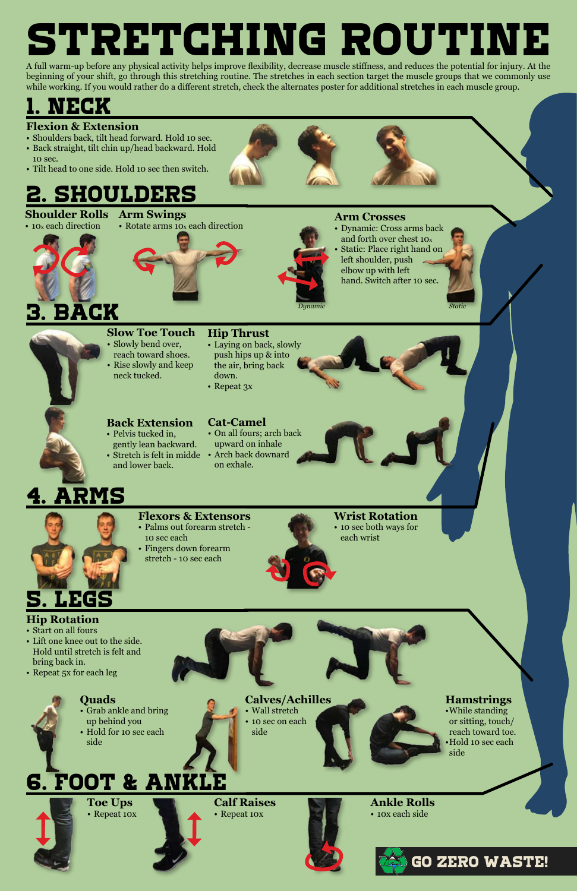

**Ankle Rolls** • 10x each side

# STRETCHING ROUTINE

A full warm-up before any physical activity helps improve flexibility, decrease muscle stiffness, and reduces the potential for injury. At the beginning of your shift, go through this stretching routine. The stretches in each section target the muscle groups that we commonly use while working. If you would rather do a different stretch, check the alternates poster for additional stretches in each muscle group.

- Start on all fours
- Lift one knee out to the side. Hold until stretch is felt and





**Toe Ups** • Repeat 10x

## 6. Foot & ankle



## **Calves/Achilles**

- Wall stretch
- 10 sec on each side

## **Quads**

- Grab ankle and bring up behind you
- Hold for 10 sec each side

**Hamstrings** •While standing or sitting, touch/ reach toward toe. •Hold 10 sec each side

- reach toward shoes. • Rise slowly and keep neck tucked.
- **Hip Thrust** • Laying on back, slowly push hips up & into the air, bring back down.
- Repeat 3x



## **Hip Rotation**

bring back in.

• Repeat 5x for each leg





**Wrist Rotation** • 10 sec both ways for each wrist

## **Flexors & Extensors**

- Palms out forearm stretch 10 sec each • Fingers down forearm
- stretch 10 sec each



## **Cat-Camel**

- On all fours; arch back upward on inhale
- Stretch is felt in midde Arch back downard on exhale.

## **Back Extension**

- Pelvis tucked in, gently lean backward.
- and lower back.

### **Slow Toe Touch** • Slowly bend over,

### **Arm Crosses**

• Dynamic: Cross arms back and forth over chest 10x Static: Place right hand on hand. Switch after 10 sec.



## 2. shoulders

• 10x each direction

## 1. neck



## **Flexion & Extension**

**Shoulder Rolls Arm Swings**

- Shoulders back, tilt head forward. Hold 10 sec.
- Back straight, tilt chin up/head backward. Hold 10 sec.
- Tilt head to one side. Hold 10 sec then switch.

**Calf Raises** • Repeat 10x